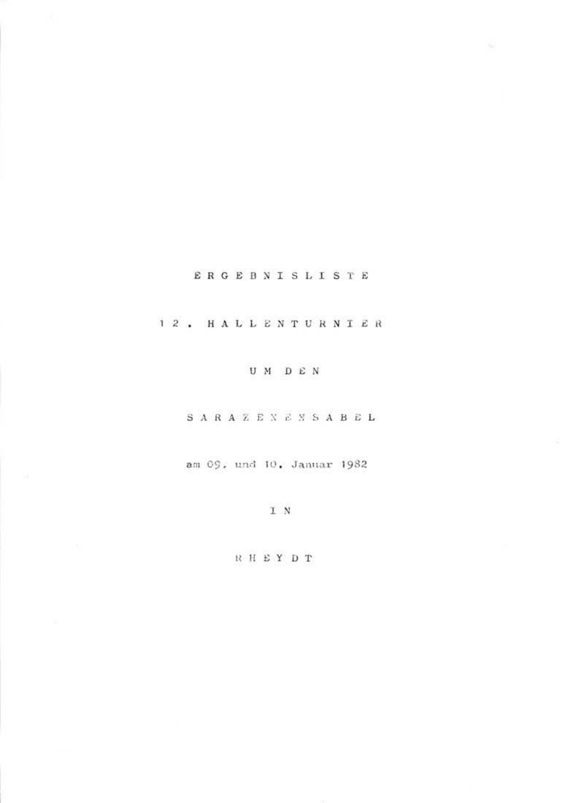# ERGEBNISLISTE

# 12. HALLENTURNIER

## UM DEN

## SARAZENENSABEL

## am 09, und 10, Januar 1982

### IN

## RHEYDT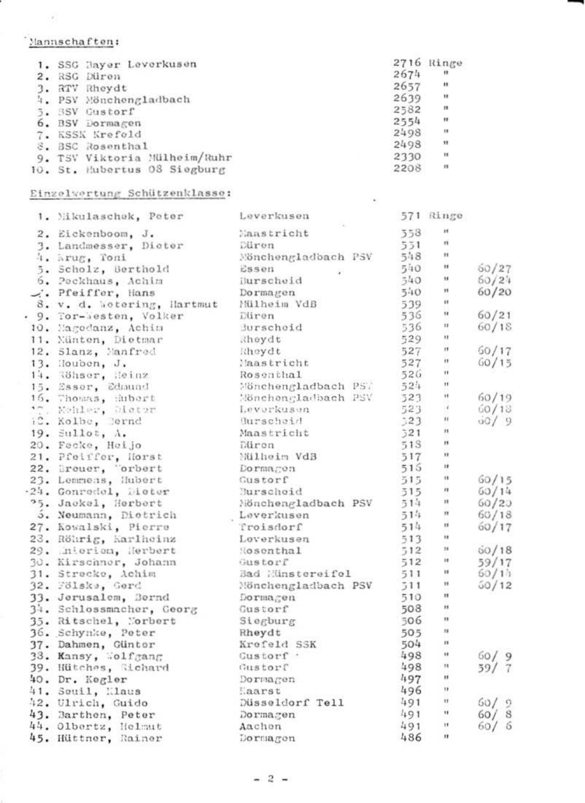# 'Mannschaften:

| 1. SSG Bayer Leverkusen      |      | 2716 Ringe   |
|------------------------------|------|--------------|
| 2. RSG Düren                 | 2674 | $\mathbf{r}$ |
| 3. RTV Rhoydt                | 2657 | $\mathbf{r}$ |
| 4. PSV Mönchengladbach       | 2639 | $\mathbf{u}$ |
| 5. SSV Custorf               | 2582 | ×            |
| 6. BSV Dormagen              | 2554 | $\mathbf{r}$ |
| 7. KSSK Krefold              | 2498 | ×            |
| 8. BSC Rosenthal             | 2498 | ×            |
| 9. TSV Viktoria Mülheim/Ruhr | 2330 | ×            |
| 10. St. Hubertus 08 Siegburg | 2208 | ×            |
|                              |      |              |

## Einzelvertung Schützenklasse:

| 1. Mikulaschek, Peter      | Leverkusen          |     | 571 Ringe            |               |
|----------------------------|---------------------|-----|----------------------|---------------|
| 2. Eickenboom, J.          | Maastricht          | 558 | $\mathbf{r}$         |               |
| 3. Landmesser, Dicter      | Düren               | 551 | ×                    |               |
| 4. Arug. Toni              | Mönchengladbach PSV | 548 | $\mathbf{u}$         |               |
| 5. Scholz, Berthold        | Essen               | 540 | u                    | 50/27         |
| 6. Pockhaus, Achim         | ilurscheid          | 540 | $\mathbf{H}$         | 60/24         |
| . Pfeiffer, Hans           | Dormagen            | 540 | $\blacksquare$       | 60/20         |
| 8. v. d. Wotering, Hartmut | Milheim VdB         | 539 | ×                    |               |
| . 9. Tor-Westen, Volker    | Düren               | 536 | $\ddot{\phantom{1}}$ | 60/21         |
| 10. Magedanz, Achia        | durschoid           | 536 | $\mathbf{11}$        | 60/18         |
| 11. Nünten, Dietmar        | Rhoydt              | 529 | u                    |               |
| 12. Slanz, Manfred         | Rhovdt              | 527 | Ħ                    | 60/17         |
| 13. Houben, J.             | Mastricht           | 527 | $\mathbf{H}$         | 60/15         |
| 14. Röhser, Heinz          | Rosenthal           | 526 | $\ddot{\phantom{1}}$ |               |
| 15. Esser, Edmund          | Mönchengladbach PS. | 524 | $\mathbf{H}$         |               |
| 16. Thomas, Hubert         | Mönchengladbach PSV | 523 | Ħ                    | 60/19         |
| **. Nobleg, Distor         | Leverkusen          | 523 | ×                    | 60/13         |
| iC. Kolbe, Rernd           | <b>Burscheid</b>    | 323 | $\mathbf{H}$         | $\frac{1}{2}$ |
| $19.$ Sullot, $\Lambda$ .  | Maastricht          | 521 | $\mathbf{H}$         |               |
| 20. Fecke, Heijo           | Düron               | 51S | Ħ                    |               |
| 21. Pfeiffer, Horst        | Milheim VdB         | 517 | $\ddot{\phantom{a}}$ |               |
| 22. Dreuer, "orbert        | Dormagon            | 516 | ×.                   |               |
| 23. Lommons, Hubert        | Custorf             | 515 | $\mathbf{u}$         | 60/15         |
| .24. Gonrodel, Dieter      | Burschoid           | 515 | $\mathbf{r}$         | 60/14         |
| '5. Jackel, Herbert        | Nönchengladbach PSV | 514 | n                    | 60/20         |
| 5. Neumann, Dietrich       | Leverkusen          | 514 | $\mathbf{H}$         | 60/18         |
| 27. Kowalski, Pierre       | Troisdorf           | 514 | Ħ                    | 60/17         |
| 23. Röhrig, Karlheinz      | Loverkusen          | 513 | ×                    |               |
| 29. interiori, Herbert     | Hosenthal           | 512 | $\mathbf{u}$         | 60/18         |
| 30. Kirschnor, Johann      | Gustorf             | 512 | 19                   | 59/17         |
| 31. Strecke, Achim         | Bad Hinstereifel    | 511 | Ħ                    | 60/15         |
| 32. Fölske, Gerd           | Mönchengladbach PSV | 511 | $\mathbf{H}$         | 50/12         |
| 33. Jerusalem, Bernd       | Dormagen            | 510 | $\mathbf{u}$         |               |
| 34. Schlossmacher, Georg   | Custorf             | 508 | ×                    |               |
| 35. Ritschel, Norbert      | Siegburg            | 506 | $\mathbf{H}$         |               |
| 36. Schynke, Peter         | Rheydt              | 505 | $\mathbf{u}$         |               |
| 37. Dahmen, Güntor         | Krofeld SSK         | 504 | и                    |               |
| 33. Kansy, Wolfgang        | Custorf :           | 498 | ×                    | 60/9          |
| 39. Hütches, Richard       | Gustorf             | 498 | $\mathbf{H}$         | 59/7          |
| 40. Dr. Kegler             | Dormagon            | 497 | $\blacksquare$       |               |
| 41. Souil, Mlaus           | Haarst              | 496 | $\mathbf{u}$         |               |
| 42. Ulrich, Guido          | Düsseldorf Tell     | 491 | $\mathbf{u}$         | 60/9          |
| 43. Barthen, Peter         | Dormagen            | 491 | $\mathbf{H}$         | 60/8          |
| 44. Olbertz, Helmut        | Aachon              | 491 | ×                    | 60/6          |
| 45. Hüttner, Rainer        | Dormagon            | 486 | ×                    |               |
|                            |                     |     |                      |               |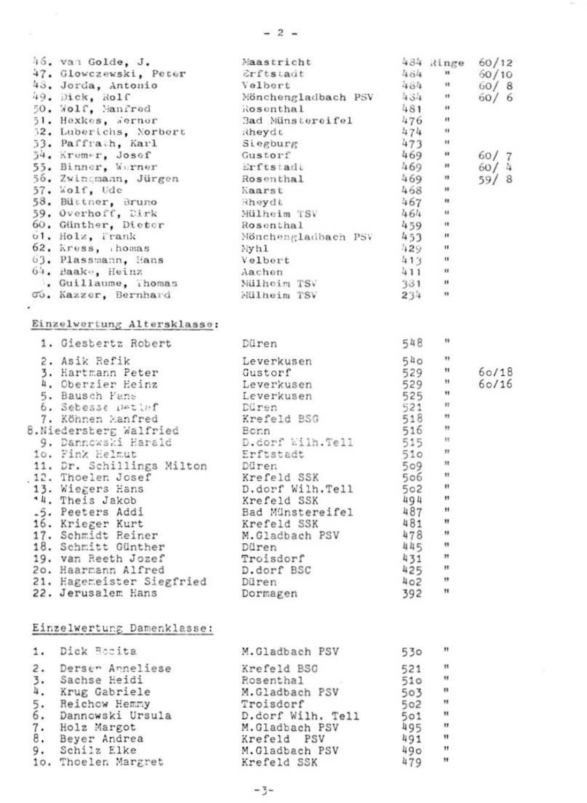| $^{15}_{27}$ van Golde, J. Mars Colle (* 1924)<br>Argent Golde, 1933 (* 1938)<br>1933 – Johann Antonio, valdar (* 1938)<br>1934 – 1936 (* 1945)<br>1935 – Mars Andreas (* 1936)<br>1935 – Mars Andreas (* 1936)<br>1935 – Mars Andreas (* 193 |  |       |
|-----------------------------------------------------------------------------------------------------------------------------------------------------------------------------------------------------------------------------------------------|--|-------|
| Einzelwertung Altersklasse:                                                                                                                                                                                                                   |  |       |
|                                                                                                                                                                                                                                               |  |       |
|                                                                                                                                                                                                                                               |  |       |
|                                                                                                                                                                                                                                               |  | 60/18 |
|                                                                                                                                                                                                                                               |  | 60/16 |
|                                                                                                                                                                                                                                               |  |       |
|                                                                                                                                                                                                                                               |  |       |
|                                                                                                                                                                                                                                               |  |       |
|                                                                                                                                                                                                                                               |  |       |
|                                                                                                                                                                                                                                               |  |       |
|                                                                                                                                                                                                                                               |  |       |
|                                                                                                                                                                                                                                               |  |       |
|                                                                                                                                                                                                                                               |  |       |
|                                                                                                                                                                                                                                               |  |       |
|                                                                                                                                                                                                                                               |  |       |
|                                                                                                                                                                                                                                               |  |       |
|                                                                                                                                                                                                                                               |  |       |
|                                                                                                                                                                                                                                               |  |       |
|                                                                                                                                                                                                                                               |  |       |
|                                                                                                                                                                                                                                               |  |       |
|                                                                                                                                                                                                                                               |  |       |
|                                                                                                                                                                                                                                               |  |       |
|                                                                                                                                                                                                                                               |  |       |
|                                                                                                                                                                                                                                               |  |       |
| Einzelwertung Damenklasse:                                                                                                                                                                                                                    |  |       |

| 2.<br>Dersen Anneliese<br>521<br>Krefeld BSG<br>$\frac{3}{4}$ .<br>Sachse Heidi<br>510<br>Rosenthal<br>Krug Gabriele<br>503<br>M.Gladbach PSV<br>$\overline{\xi}$ :<br>Reichow Hemmy<br>Troisdorf<br>502<br>501<br>Dannowski Ursula<br>D.dorf Wilh. Tell<br>495<br>$\overline{\mathbf{a}}$ :<br>Holz Margot<br>M.Gladbach PSV<br>491<br>Beyer Andrea<br>Krefeld PSV<br>9.<br>Schilz Elke<br>490<br>M.Gladbach PSV<br>479<br>10. Thoelen Margret<br>Krefeld SSK | <b>1.</b> | Dick Hosita | M.Gladbach PSV | 530 |              |
|----------------------------------------------------------------------------------------------------------------------------------------------------------------------------------------------------------------------------------------------------------------------------------------------------------------------------------------------------------------------------------------------------------------------------------------------------------------|-----------|-------------|----------------|-----|--------------|
|                                                                                                                                                                                                                                                                                                                                                                                                                                                                |           |             |                |     | $^{\ast}$    |
|                                                                                                                                                                                                                                                                                                                                                                                                                                                                |           |             |                |     | $^{\circ}$   |
|                                                                                                                                                                                                                                                                                                                                                                                                                                                                |           |             |                |     | $\mathbf{u}$ |
|                                                                                                                                                                                                                                                                                                                                                                                                                                                                |           |             |                |     | $\mathbf{u}$ |
|                                                                                                                                                                                                                                                                                                                                                                                                                                                                |           |             |                |     | $\mathbf{u}$ |
|                                                                                                                                                                                                                                                                                                                                                                                                                                                                |           |             |                |     | $\mathbf{u}$ |
|                                                                                                                                                                                                                                                                                                                                                                                                                                                                |           |             |                |     | $\mathbf{H}$ |
|                                                                                                                                                                                                                                                                                                                                                                                                                                                                |           |             |                |     | $\mathbf{H}$ |
|                                                                                                                                                                                                                                                                                                                                                                                                                                                                |           |             |                |     | $\mathbf{H}$ |
|                                                                                                                                                                                                                                                                                                                                                                                                                                                                |           |             |                |     |              |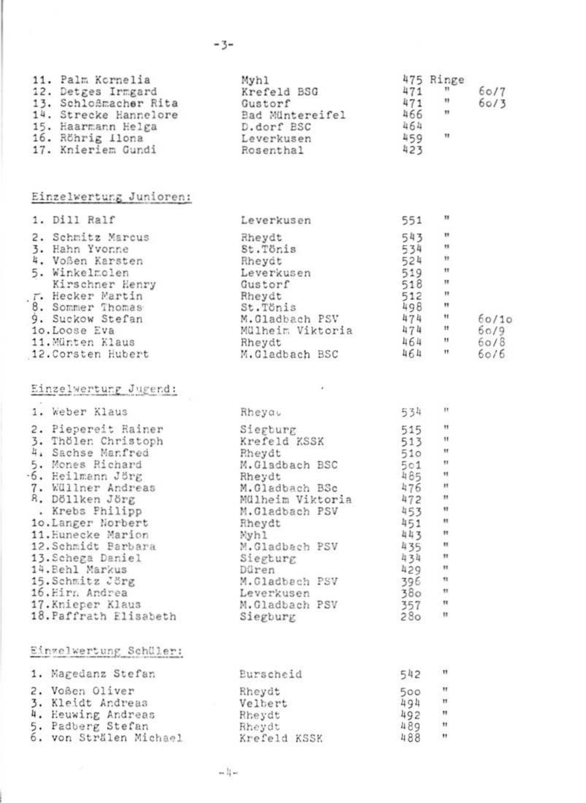| 11. Pal<br>r Palin Kyhl Myhlm (* 175 kings 171 – 175 kings 171 – 175 – 175 – 175 – 175 – 175 – 175 – 175 – 175 – 175 – 175 – 175 – 175 – 175 – 175 – 175 – 175 – 175 – 175 – 175 – 175 – 175 – 175 – 175 – 175 – 175 – 175 – |  | 60/7<br>60/3 |
|------------------------------------------------------------------------------------------------------------------------------------------------------------------------------------------------------------------------------|--|--------------|
| Einzelwertung Junioren:                                                                                                                                                                                                      |  |              |
|                                                                                                                                                                                                                              |  |              |
|                                                                                                                                                                                                                              |  |              |
| Einzelwertung Jugend:                                                                                                                                                                                                        |  |              |
|                                                                                                                                                                                                                              |  |              |
|                                                                                                                                                                                                                              |  |              |

| 12. Schmidt Barbara    |
|------------------------|
| 13. Schega Daniel      |
| 14. Behl Markus        |
| 15. Schmitz Jörg       |
| 16. Hirn Andrea        |
| 17.Knieper Klaus       |
| 18. Paffrath Elisabeth |
|                        |
|                        |
|                        |

|  |  | Elngeiwertung Schuler:                                                                    |  |
|--|--|-------------------------------------------------------------------------------------------|--|
|  |  | the country of the country of the country of the country of the country of the country of |  |

| 1. Magedanz Stefan     | Eurscheid    | 542 | $\mathbf{H}$ |
|------------------------|--------------|-----|--------------|
| 2. Voßen Oliver        | Rheydt       | 500 | $\mathbf{H}$ |
| 3. Kleidt Andreas      | Velbert      | 494 | $\mathbf{H}$ |
| 4. Heuwing Andreas     | Rheydt       | 492 | $\mathbf{H}$ |
| 5. Padberg Stefan      | Rheydt       | 489 | $^{11}$      |
| 6. von Strälen Michael | Krefeld KSSK | 488 | $\mathbf{H}$ |